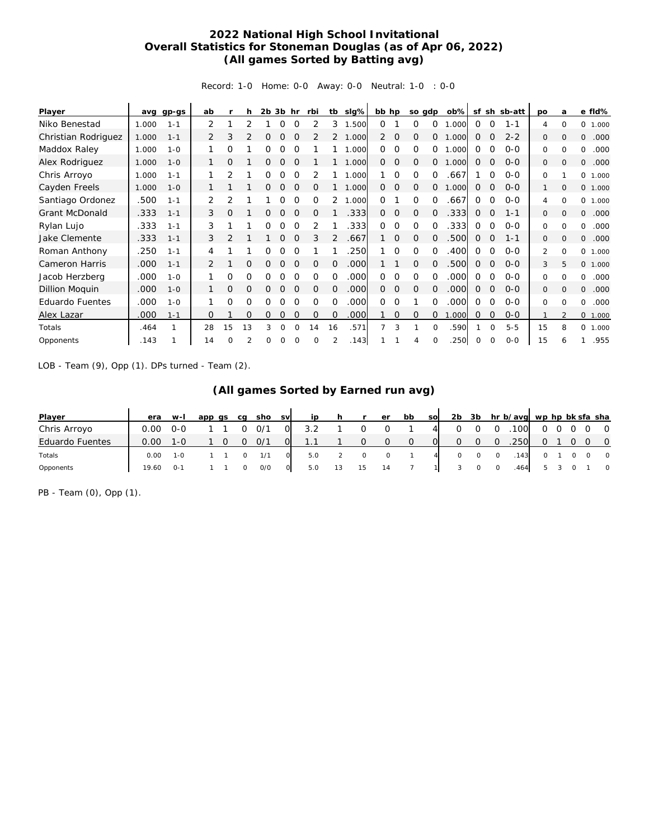## **2022 National High School Invitational Overall Statistics for Stoneman Douglas (as of Apr 06, 2022) (All games Sorted by Batting avg)**

Record: 1-0 Home: 0-0 Away: 0-0 Neutral: 1-0 : 0-0

| Player                 | avq   | $qp-gs$ | ab |          | h              | 2b | 3b       | hr          | rbi          | tb             | slg%  | bb hp          |                | so gdp       |                | $ob\%$ | sf           | sh          | sb-att  | po       | a              | e fld%     |
|------------------------|-------|---------|----|----------|----------------|----|----------|-------------|--------------|----------------|-------|----------------|----------------|--------------|----------------|--------|--------------|-------------|---------|----------|----------------|------------|
| Niko Benestad          | 1.000 | $1 - 1$ | 2  |          |                |    | O        | $\Omega$    |              | 3              | 1.500 | 0              |                | $\Omega$     | $\Omega$       | .000   | $\Omega$     | $\Omega$    | $1 - 1$ | 4        | $\Omega$       | 0<br>1.000 |
| Christian Rodriguez    | 1.000 | $1 - 1$ | 2  | 3        |                | O  | Ο        | $\Omega$    |              |                | 1.000 | $\overline{2}$ | 0              | O            | $\Omega$       | .000   | 0            | Ω           | $2 - 2$ | 0        | $\Omega$       | .000<br>0  |
| Maddox Raley           | 1.000 | $1 - 0$ |    | Ω        |                | ი  |          | ∩           |              |                | .000  | 0              | $\Omega$       | $\Omega$     | $\Omega$       | .000   | 0            | $\Omega$    | $0 - 0$ | 0        | $\Omega$       | .000<br>0  |
| Alex Rodriguez         | 1.000 | $1 - 0$ |    | O        |                | 0  | Ω        | $\Omega$    |              |                | 1.000 | $\overline{0}$ | $\circ$        | $\mathbf 0$  | 0              | .000   | $\Omega$     | $\Omega$    | $0 - 0$ | 0        | $\Omega$       | 0<br>.000  |
| Chris Arroyo           | 1.000 | $1 - 1$ |    | 2        |                | 0  | $\Omega$ | $\Omega$    | 2            |                | 1.000 |                | $\Omega$       | $\Omega$     | $\Omega$       | .667   |              | $\Omega$    | $0 - 0$ | 0        |                | 0<br>1.000 |
| Cayden Freels          | 1.000 | $1 - 0$ |    |          |                | 0  | 0        | $\mathbf 0$ | 0            |                | 1.000 | $\circ$        | $\overline{0}$ | 0            | $\overline{0}$ | .000   | $\Omega$     | $\Omega$    | $O - O$ | 1        | $\mathbf{0}$   | 0 1.000    |
| Santiago Ordonez       | .500  | $1 - 1$ | 2  | 2        |                |    | 0        | $\Omega$    | 0            |                | 1.000 | 0              |                | $\Omega$     | $\Omega$       | .667   | $\Omega$     | $\Omega$    | $0 - 0$ | 4        | $\Omega$       | 0 1.000    |
| <b>Grant McDonald</b>  | .333  | $1 - 1$ | 3  | 0        |                | 0  | 0        | 0           | 0            |                | .333  | $\overline{0}$ | $\mathbf{O}$   | $\mathbf{O}$ | $\Omega$       | .333   | 0            | $\Omega$    | $1 - 1$ | 0        | $\mathbf{O}$   | 0<br>.000  |
| Rylan Lujo             | .333  | $1 - 1$ | 3  |          |                | Ω  | Ω        | $\Omega$    |              |                | .333  | 0              | $\Omega$       | 0            | $\Omega$       | .333   | $\Omega$     | $\Omega$    | $0 - 0$ | 0        | $\Omega$       | .000<br>0  |
| <b>Jake Clemente</b>   | .333  | $1 - 1$ | 3  |          |                |    | O        | $\Omega$    | 3            | 2              | .667  |                | $\mathbf{O}$   | $\mathbf{O}$ | $\Omega$       | .500   | 0            | $\Omega$    | $1 - 1$ | 0        | $\Omega$       | 0<br>.000  |
| Roman Anthony          | .250  | $1 - 1$ | 4  |          |                |    |          |             |              |                | .250  |                | $\Omega$       | $\Omega$     | $\Omega$       | .400   | $\Omega$     | $\Omega$    | $0 - 0$ | 2        | $\Omega$       | 0<br>1.000 |
| <b>Cameron Harris</b>  | .000  | $1 - 1$ | 2  |          | $\Omega$       | O  | O        | $\Omega$    | $\Omega$     | $\Omega$       | .000  |                |                | $\Omega$     | $\Omega$       | .500   | 0            | $\mathbf 0$ | $0 - 0$ | 3        | 5              | 0 1.000    |
| Jacob Herzberg         | .000  | $1 - 0$ |    | Ω        | Ω              | 0  | O        | $\Omega$    | O            | $\Omega$       | .000  | $\Omega$       | $\Omega$       | $\Omega$     | $\Omega$       | .000   | $\Omega$     | $\Omega$    | $0 - 0$ | $\Omega$ | $\Omega$       | .000<br>0  |
| Dillion Moquin         | .000  | $1 - 0$ |    | 0        | O              | 0  | O        | $\Omega$    | $\Omega$     | $\Omega$       | .000  | $\overline{0}$ | $\Omega$       | $\Omega$     | 0              | .000   | $\mathbf{0}$ | 0           | $0 - 0$ | 0        | $\Omega$       | .000<br>0  |
| <b>Eduardo Fuentes</b> | .000  | $1 - 0$ |    | Ω        | 0              | Ω  | Ω        | ∩           | $\Omega$     | $\Omega$       | .000  | 0              | $\Omega$       |              | $\Omega$       | .000   | $\Omega$     | $\Omega$    | $0 - 0$ | 0        | $\Omega$       | 0<br>.000  |
| Alex Lazar             | .000  | $1 - 1$ | 0  |          | $\overline{O}$ | 0  | Ο        | $\Omega$    | $\mathbf{O}$ | $\overline{O}$ | .000  |                | $\mathbf{O}$   | $\mathbf{O}$ | 0              | 1.000  | 0            | 0           | $0 - 0$ |          | $\mathfrak{D}$ | 0 1.000    |
| Totals                 | .464  |         | 28 | 15       | 13             | 3  | $\Omega$ | $\Omega$    | 14           | 16             | .571  | 7              | 3              |              | $\Omega$       | .590   |              | $\Omega$    | $5 - 5$ | 15       | 8              | 0<br>1.000 |
| Opponents              | .143  |         | 14 | $\Omega$ |                | Ω  | Ω        |             | $\Omega$     |                | .143  |                |                | 4            | $\Omega$       | .250   | 0            | $\Omega$    | $0 - 0$ | 15       | 6              | .955       |

LOB - Team (9), Opp (1). DPs turned - Team (2).

| Player                 | era   | $W-I$        | app as | ca | sho | <b>SV</b> | ip  |         | er | bb | <b>SO</b> | 2 <sub>b</sub> | 3b |         | hr b/avg wp hp bk sfa sha |          |           |                                 |                |
|------------------------|-------|--------------|--------|----|-----|-----------|-----|---------|----|----|-----------|----------------|----|---------|---------------------------|----------|-----------|---------------------------------|----------------|
| Chris Arroyo           | 0.00  | $O-O$        |        |    | O/1 | $\circ$   | 3.2 |         |    |    |           |                |    |         | 100                       |          |           | $0\quad 0\quad 0\quad 0\quad 0$ |                |
| <b>Eduardo Fuentes</b> | 0.00  |              |        |    | O/1 |           |     |         |    |    |           | O              |    |         | .250                      | $\Omega$ | $\circ$ O |                                 | $\overline{0}$ |
| Totals                 | 0.00  | $1 - \Omega$ |        |    | 1/1 |           | 5.0 | $\circ$ |    |    |           |                |    | $\circ$ | 143                       |          |           | $\overline{0}$                  | $\overline{0}$ |
| Opponents              | 19.60 | $O - 1$      |        |    | O/O |           | 5.0 | 15      |    |    |           |                |    |         | 464                       |          |           |                                 | $\Omega$       |

PB - Team (0), Opp (1).